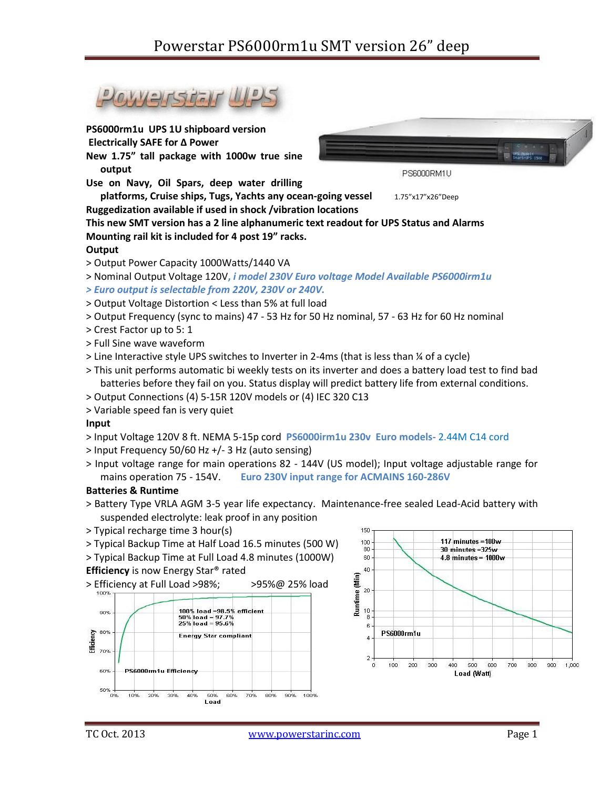

> Input voltage range for main operations 82 - 144V (US model); Input voltage adjustable range for mains operation 75 - 154V. **Euro 230V input range for ACMAINS 160-286V**

#### **Batteries & Runtime**

- > Battery Type VRLA AGM 3-5 year life expectancy. Maintenance-free sealed Lead-Acid battery with suspended electrolyte: leak proof in any position
- > Typical recharge time 3 hour(s)
- > Typical Backup Time at Half Load 16.5 minutes (500 W)
- > Typical Backup Time at Full Load 4.8 minutes (1000W)
- **Efficiency** is now Energy Star® rated



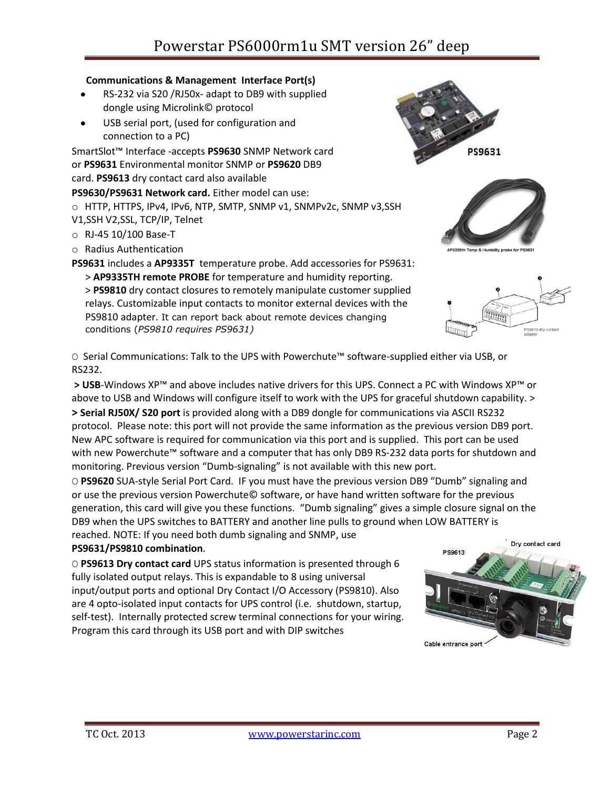# Powerstar PS6000rm1u SMT version 26" deep

#### **Communications & Management Interface Port(s)**

- RS-232 via S20 /RJ50x- adapt to DB9 with supplied dongle using Microlink© protocol
- USB serial port, (used for configuration and connection to a PC)

SmartSlot™ Interface -accepts **PS9630** SNMP Network card or **PS9631** Environmental monitor SNMP or **PS9620** DB9 card. **PS9613** dry contact card also available

- **PS9630/PS9631 Network card.** Either model can use:
- o HTTP, HTTPS, IPv4, IPv6, NTP, SMTP, SNMP v1, SNMPv2c, SNMP v3,SSH V1,SSH V2,SSL, TCP/IP, Telnet
- o RJ-45 10/100 Base-T
- o Radius Authentication

**PS9631** includes a **AP9335T** temperature probe. Add accessories for PS9631:

- > **AP9335TH remote PROBE** for temperature and humidity reporting.
- > **PS9810** dry contact closures to remotely manipulate customer supplied relays. Customizable input contacts to monitor external devices with the PS9810 adapter. It can report back about remote devices changing conditions (*PS9810 requires PS9631)*

O Serial Communications: Talk to the UPS with Powerchute™ software-supplied either via USB, or RS232.

**> USB**-Windows XP™ and above includes native drivers for this UPS. Connect a PC with Windows XP™ or above to USB and Windows will configure itself to work with the UPS for graceful shutdown capability. > **> Serial RJ50X/ S20 port** is provided along with a DB9 dongle for communications via ASCII RS232 protocol. Please note: this port will not provide the same information as the previous version DB9 port. New APC software is required for communication via this port and is supplied. This port can be used with new Powerchute™ software and a computer that has only DB9 RS-232 data ports for shutdown and monitoring. Previous version "Dumb-signaling" is not available with this new port.

O **PS9620** SUA-style Serial Port Card. IF you must have the previous version DB9 "Dumb" signaling and or use the previous version Powerchute© software, or have hand written software for the previous generation, this card will give you these functions. "Dumb signaling" gives a simple closure signal on the DB9 when the UPS switches to BATTERY and another line pulls to ground when LOW BATTERY is

reached. NOTE: If you need both dumb signaling and SNMP, use

# **PS9631/PS9810 combination**.

O **PS9613 Dry contact card** UPS status information is presented through 6 fully isolated output relays. This is expandable to 8 using universal input/output ports and optional Dry Contact I/O Accessory (PS9810). Also are 4 opto-isolated input contacts for UPS control (i.e. shutdown, startup, self-test). Internally protected screw terminal connections for your wiring. Program this card through its USB port and with DIP switches